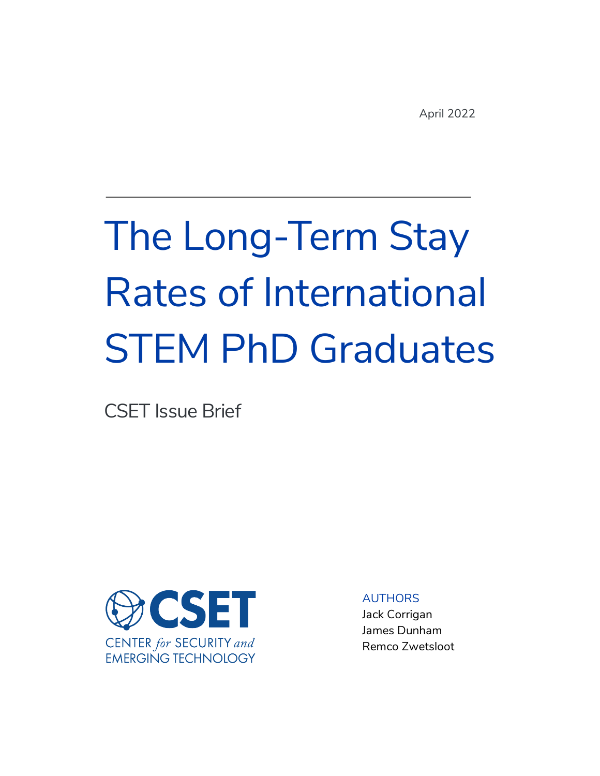# The Long-Term Stay Rates of International STEM PhD Graduates

CSET Issue Brief



AUTHORS

Jack Corrigan James Dunham Remco Zwetsloot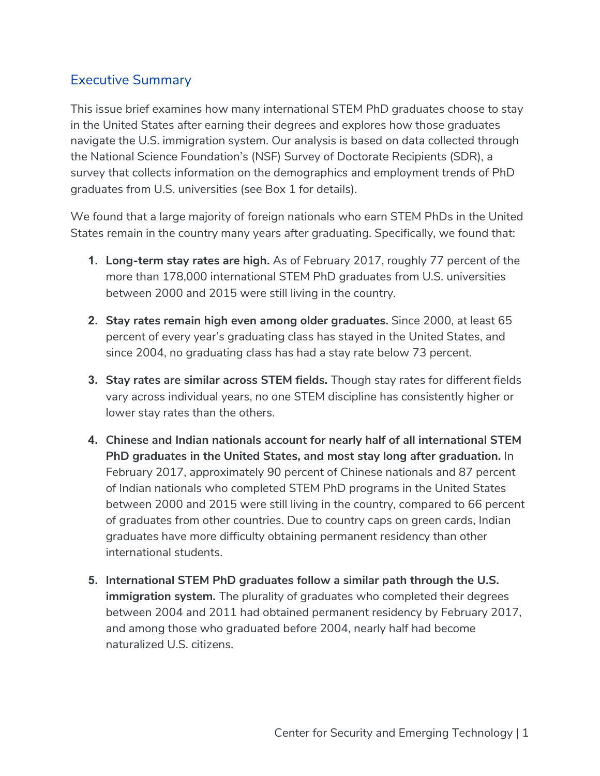## Executive Summary

This issue brief examines how many international STEM PhD graduates choose to stay in the United States after earning their degrees and explores how those graduates navigate the U.S. immigration system. Our analysis is based on data collected through the National Science Foundation's (NSF) Survey of Doctorate Recipients (SDR), a survey that collects information on the demographics and employment trends of PhD graduates from U.S. universities (see Box 1 for details).

We found that a large majority of foreign nationals who earn STEM PhDs in the United States remain in the country many years after graduating. Specifically, we found that:

- **1. Long-term stay rates are high.** As of February 2017, roughly 77 percent of the more than 178,000 international STEM PhD graduates from U.S. universities between 2000 and 2015 were still living in the country.
- **2. Stay rates remain high even among older graduates.** Since 2000, at least 65 percent of every year's graduating class has stayed in the United States, and since 2004, no graduating class has had a stay rate below 73 percent.
- **3. Stay rates are similar across STEM fields.** Though stay rates for different fields vary across individual years, no one STEM discipline has consistently higher or lower stay rates than the others.
- **4. Chinese and Indian nationals account for nearly half of all international STEM PhD graduates in the United States, and most stay long after graduation.** In February 2017, approximately 90 percent of Chinese nationals and 87 percent of Indian nationals who completed STEM PhD programs in the United States between 2000 and 2015 were still living in the country, compared to 66 percent of graduates from other countries. Due to country caps on green cards, Indian graduates have more difficulty obtaining permanent residency than other international students.
- **5. International STEM PhD graduates follow a similar path through the U.S. immigration system.** The plurality of graduates who completed their degrees between 2004 and 2011 had obtained permanent residency by February 2017, and among those who graduated before 2004, nearly half had become naturalized U.S. citizens.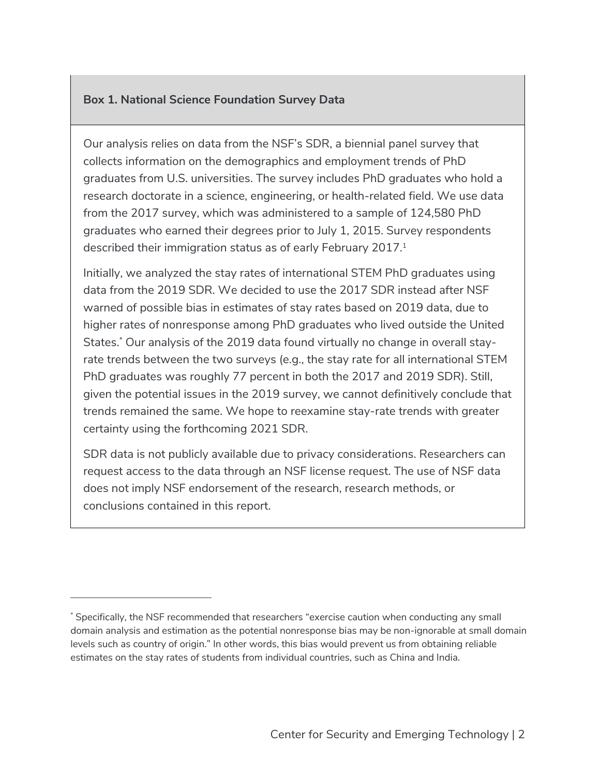#### **Box 1. National Science Foundation Survey Data**

Our analysis relies on data from the NSF's SDR, a biennial panel survey that collects information on the demographics and employment trends of PhD graduates from U.S. universities. The survey includes PhD graduates who hold a research doctorate in a science, engineering, or health-related field. We use data from the 2017 survey, which was administered to a sample of 124,580 PhD graduates who earned their degrees prior to July 1, 2015. Survey respondents described their immigration status as of early February 2017.<sup>1</sup>

Initially, we analyzed the stay rates of international STEM PhD graduates using data from the 2019 SDR. We decided to use the 2017 SDR instead after NSF warned of possible bias in estimates of stay rates based on 2019 data, due to higher rates of nonresponse among PhD graduates who lived outside the United States.\* Our analysis of the 2019 data found virtually no change in overall stayrate trends between the two surveys (e.g., the stay rate for all international STEM PhD graduates was roughly 77 percent in both the 2017 and 2019 SDR). Still, given the potential issues in the 2019 survey, we cannot definitively conclude that trends remained the same. We hope to reexamine stay-rate trends with greater certainty using the forthcoming 2021 SDR.

SDR data is not publicly available due to privacy considerations. Researchers can request access to the data through an NSF license request. The use of NSF data does not imply NSF endorsement of the research, research methods, or conclusions contained in this report.

<sup>\*</sup> Specifically, the NSF recommended that researchers "exercise caution when conducting any small domain analysis and estimation as the potential nonresponse bias may be non-ignorable at small domain levels such as country of origin." In other words, this bias would prevent us from obtaining reliable estimates on the stay rates of students from individual countries, such as China and India.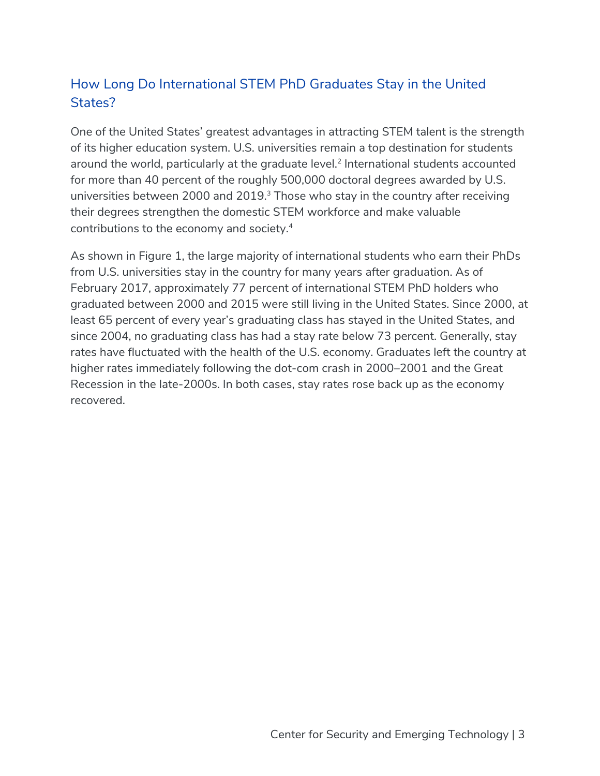# How Long Do International STEM PhD Graduates Stay in the United States?

One of the United States' greatest advantages in attracting STEM talent is the strength of its higher education system. U.S. universities remain a top destination for students around the world, particularly at the graduate level. <sup>2</sup> International students accounted for more than 40 percent of the roughly 500,000 doctoral degrees awarded by U.S. universities between 2000 and 2019.<sup>3</sup> Those who stay in the country after receiving their degrees strengthen the domestic STEM workforce and make valuable contributions to the economy and society.4

As shown in Figure 1, the large majority of international students who earn their PhDs from U.S. universities stay in the country for many years after graduation. As of February 2017, approximately 77 percent of international STEM PhD holders who graduated between 2000 and 2015 were still living in the United States. Since 2000, at least 65 percent of every year's graduating class has stayed in the United States, and since 2004, no graduating class has had a stay rate below 73 percent. Generally, stay rates have fluctuated with the health of the U.S. economy. Graduates left the country at higher rates immediately following the dot-com crash in 2000–2001 and the Great Recession in the late-2000s. In both cases, stay rates rose back up as the economy recovered.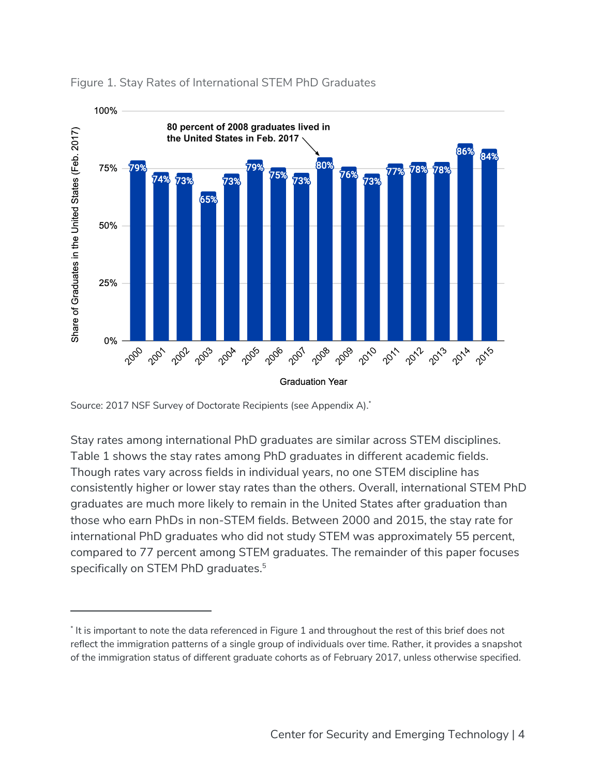

#### Figure 1. Stay Rates of International STEM PhD Graduates

Stay rates among international PhD graduates are similar across STEM disciplines. Table 1 shows the stay rates among PhD graduates in different academic fields. Though rates vary across fields in individual years, no one STEM discipline has consistently higher or lower stay rates than the others. Overall, international STEM PhD graduates are much more likely to remain in the United States after graduation than those who earn PhDs in non-STEM fields. Between 2000 and 2015, the stay rate for international PhD graduates who did not study STEM was approximately 55 percent, compared to 77 percent among STEM graduates. The remainder of this paper focuses specifically on STEM PhD graduates.<sup>5</sup>

Source: 2017 NSF Survey of Doctorate Recipients (see Appendix A). \*

<sup>\*</sup> It is important to note the data referenced in Figure 1 and throughout the rest of this brief does not reflect the immigration patterns of a single group of individuals over time. Rather, it provides a snapshot of the immigration status of different graduate cohorts as of February 2017, unless otherwise specified.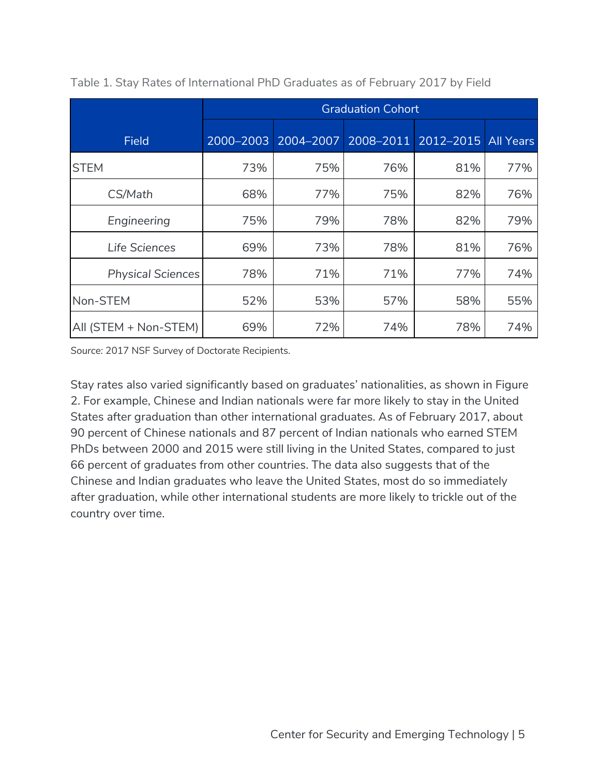|                          | <b>Graduation Cohort</b> |     |     |                               |                  |  |  |  |  |  |
|--------------------------|--------------------------|-----|-----|-------------------------------|------------------|--|--|--|--|--|
| <b>Field</b>             | 2000-2003                |     |     | 2004-2007 2008-2011 2012-2015 | <b>All Years</b> |  |  |  |  |  |
| <b>STEM</b>              | 73%                      | 75% | 76% | 81%                           | 77%              |  |  |  |  |  |
| CS/Math                  | 68%                      | 77% | 75% | 82%                           | 76%              |  |  |  |  |  |
| Engineering              | 75%                      | 79% | 78% | 82%                           | 79%              |  |  |  |  |  |
| Life Sciences            | 69%                      | 73% | 78% | 81%                           | 76%              |  |  |  |  |  |
| <b>Physical Sciences</b> | 78%                      | 71% | 71% | 77%                           | 74%              |  |  |  |  |  |
| Non-STEM                 | 52%                      | 53% | 57% | 58%                           | 55%              |  |  |  |  |  |
| All (STEM + Non-STEM)    | 69%                      | 72% | 74% | 78%                           | 74%              |  |  |  |  |  |

Table 1. Stay Rates of International PhD Graduates as of February 2017 by Field

*Source:* 2017 NSF Survey of Doctorate Recipients.

Stay rates also varied significantly based on graduates' nationalities, as shown in Figure 2. For example, Chinese and Indian nationals were far more likely to stay in the United States after graduation than other international graduates. As of February 2017, about 90 percent of Chinese nationals and 87 percent of Indian nationals who earned STEM PhDs between 2000 and 2015 were still living in the United States, compared to just 66 percent of graduates from other countries. The data also suggests that of the Chinese and Indian graduates who leave the United States, most do so immediately after graduation, while other international students are more likely to trickle out of the country over time.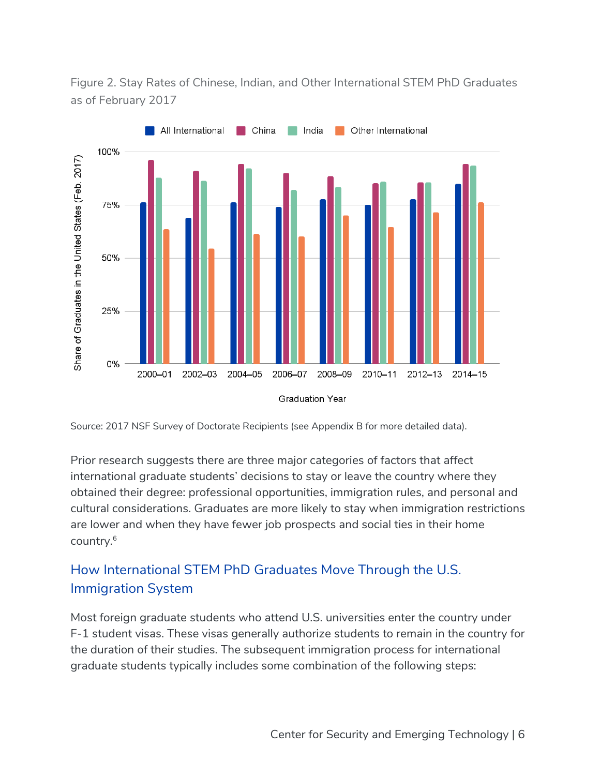Figure 2. Stay Rates of Chinese, Indian, and Other International STEM PhD Graduates as of February 2017



Source: 2017 NSF Survey of Doctorate Recipients (see Appendix B for more detailed data).

Prior research suggests there are three major categories of factors that affect international graduate students' decisions to stay or leave the country where they obtained their degree: professional opportunities, immigration rules, and personal and cultural considerations. Graduates are more likely to stay when immigration restrictions are lower and when they have fewer job prospects and social ties in their home country.6

# How International STEM PhD Graduates Move Through the U.S. Immigration System

Most foreign graduate students who attend U.S. universities enter the country under F-1 student visas. These visas generally authorize students to remain in the country for the duration of their studies. The subsequent immigration process for international graduate students typically includes some combination of the following steps: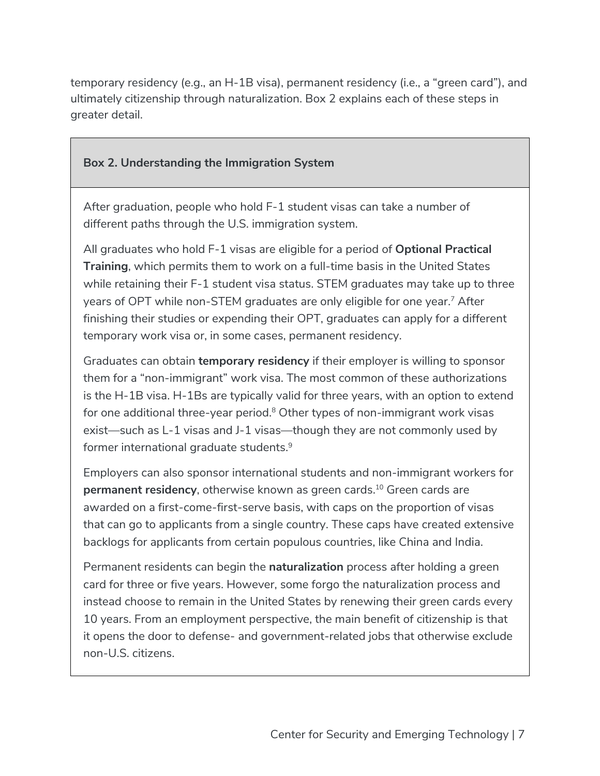temporary residency (e.g., an H-1B visa), permanent residency (i.e., a "green card"), and ultimately citizenship through naturalization. Box 2 explains each of these steps in greater detail.

#### **Box 2. Understanding the Immigration System**

After graduation, people who hold F-1 student visas can take a number of different paths through the U.S. immigration system.

All graduates who hold F-1 visas are eligible for a period of **Optional Practical Training**, which permits them to work on a full-time basis in the United States while retaining their F-1 student visa status. STEM graduates may take up to three years of OPT while non-STEM graduates are only eligible for one year.<sup>7</sup> After finishing their studies or expending their OPT, graduates can apply for a different temporary work visa or, in some cases, permanent residency.

Graduates can obtain **temporary residency** if their employer is willing to sponsor them for a "non-immigrant" work visa. The most common of these authorizations is the H-1B visa. H-1Bs are typically valid for three years, with an option to extend for one additional three-year period.<sup>8</sup> Other types of non-immigrant work visas exist—such as L-1 visas and J-1 visas—though they are not commonly used by former international graduate students.9

Employers can also sponsor international students and non-immigrant workers for **permanent residency**, otherwise known as green cards.<sup>10</sup> Green cards are awarded on a first-come-first-serve basis, with caps on the proportion of visas that can go to applicants from a single country. These caps have created extensive backlogs for applicants from certain populous countries, like China and India.

Permanent residents can begin the **naturalization** process after holding a green card for three or five years. However, some forgo the naturalization process and instead choose to remain in the United States by renewing their green cards every 10 years. From an employment perspective, the main benefit of citizenship is that it opens the door to defense- and government-related jobs that otherwise exclude non-U.S. citizens.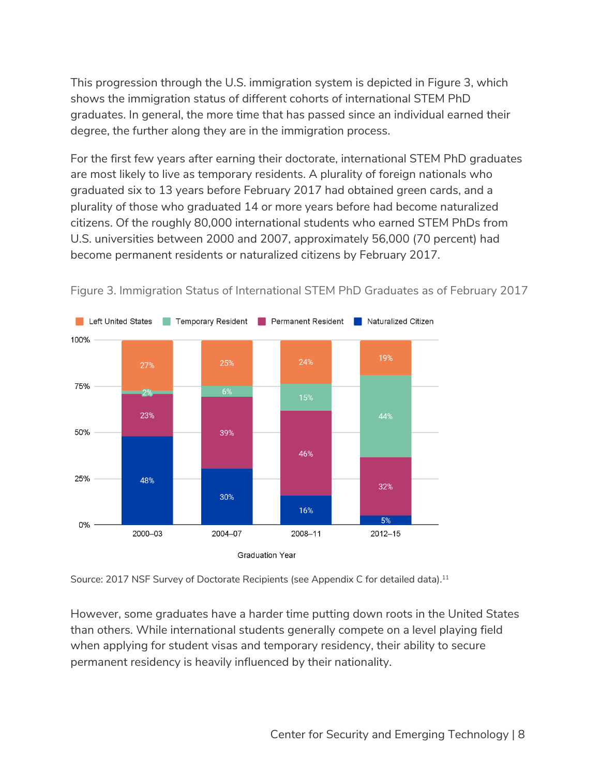This progression through the U.S. immigration system is depicted in Figure 3, which shows the immigration status of different cohorts of international STEM PhD graduates. In general, the more time that has passed since an individual earned their degree, the further along they are in the immigration process.

For the first few years after earning their doctorate, international STEM PhD graduates are most likely to live as temporary residents. A plurality of foreign nationals who graduated six to 13 years before February 2017 had obtained green cards, and a plurality of those who graduated 14 or more years before had become naturalized citizens. Of the roughly 80,000 international students who earned STEM PhDs from U.S. universities between 2000 and 2007, approximately 56,000 (70 percent) had become permanent residents or naturalized citizens by February 2017.



Figure 3. Immigration Status of International STEM PhD Graduates as of February 2017



However, some graduates have a harder time putting down roots in the United States than others. While international students generally compete on a level playing field when applying for student visas and temporary residency, their ability to secure permanent residency is heavily influenced by their nationality.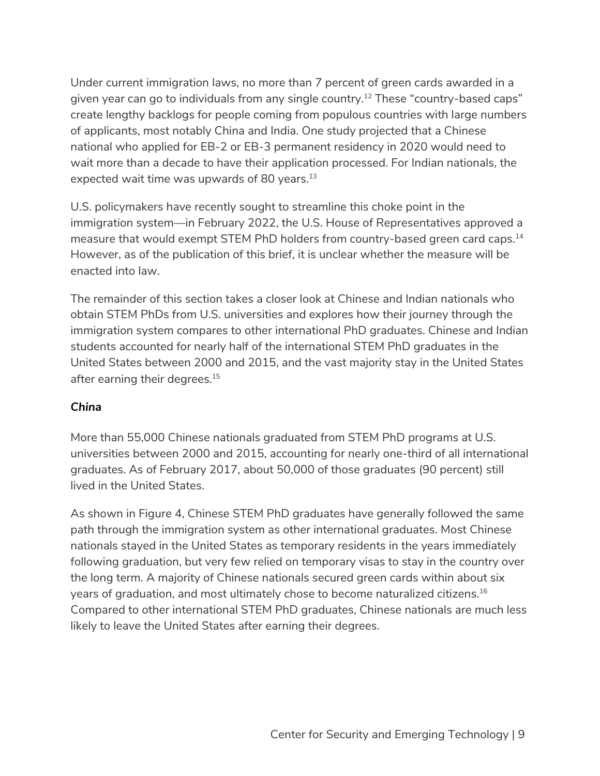Under current immigration laws, no more than 7 percent of green cards awarded in a given year can go to individuals from any single country.<sup>12</sup> These "country-based caps" create lengthy backlogs for people coming from populous countries with large numbers of applicants, most notably China and India. One study projected that a Chinese national who applied for EB-2 or EB-3 permanent residency in 2020 would need to wait more than a decade to have their application processed. For Indian nationals, the expected wait time was upwards of 80 years.<sup>13</sup>

U.S. policymakers have recently sought to streamline this choke point in the immigration system—in February 2022, the U.S. House of Representatives approved a measure that would exempt STEM PhD holders from country-based green card caps.<sup>14</sup> However, as of the publication of this brief, it is unclear whether the measure will be enacted into law.

The remainder of this section takes a closer look at Chinese and Indian nationals who obtain STEM PhDs from U.S. universities and explores how their journey through the immigration system compares to other international PhD graduates. Chinese and Indian students accounted for nearly half of the international STEM PhD graduates in the United States between 2000 and 2015, and the vast majority stay in the United States after earning their degrees. 15

#### *China*

More than 55,000 Chinese nationals graduated from STEM PhD programs at U.S. universities between 2000 and 2015, accounting for nearly one-third of all international graduates. As of February 2017, about 50,000 of those graduates (90 percent) still lived in the United States.

As shown in Figure 4, Chinese STEM PhD graduates have generally followed the same path through the immigration system as other international graduates. Most Chinese nationals stayed in the United States as temporary residents in the years immediately following graduation, but very few relied on temporary visas to stay in the country over the long term. A majority of Chinese nationals secured green cards within about six years of graduation, and most ultimately chose to become naturalized citizens.16 Compared to other international STEM PhD graduates, Chinese nationals are much less likely to leave the United States after earning their degrees.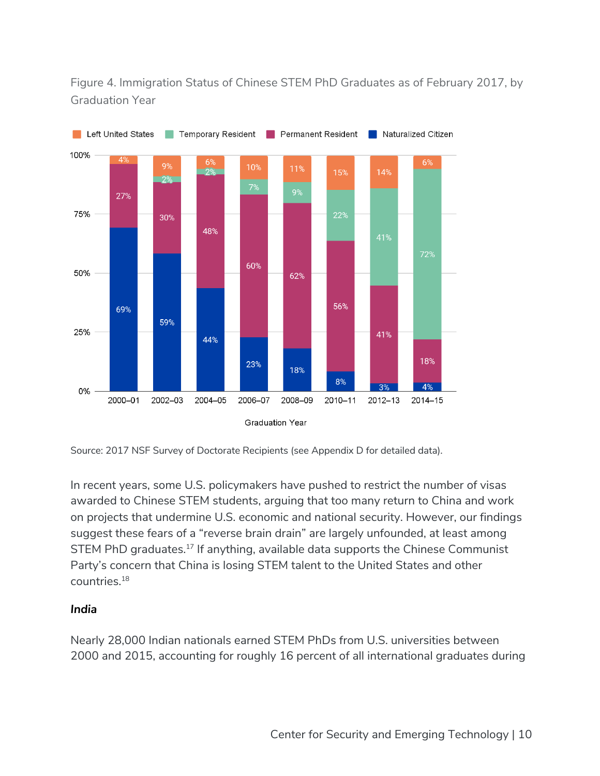Figure 4. Immigration Status of Chinese STEM PhD Graduates as of February 2017, by Graduation Year



Source: 2017 NSF Survey of Doctorate Recipients (see Appendix D for detailed data).

In recent years, some U.S. policymakers have pushed to restrict the number of visas awarded to Chinese STEM students, arguing that too many return to China and work on projects that undermine U.S. economic and national security. However, our findings suggest these fears of a "reverse brain drain" are largely unfounded, at least among STEM PhD graduates. <sup>17</sup> If anything, available data supports the Chinese Communist Party's concern that China is losing STEM talent to the United States and other countries.18

#### *India*

Nearly 28,000 Indian nationals earned STEM PhDs from U.S. universities between 2000 and 2015, accounting for roughly 16 percent of all international graduates during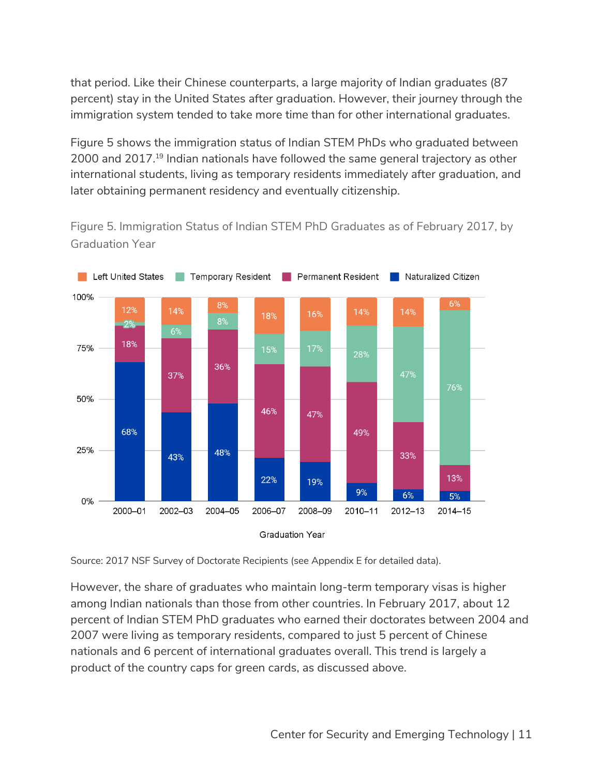that period. Like their Chinese counterparts, a large majority of Indian graduates (87 percent) stay in the United States after graduation. However, their journey through the immigration system tended to take more time than for other international graduates.

Figure 5 shows the immigration status of Indian STEM PhDs who graduated between 2000 and 2017.19 Indian nationals have followed the same general trajectory as other international students, living as temporary residents immediately after graduation, and later obtaining permanent residency and eventually citizenship.

Figure 5. Immigration Status of Indian STEM PhD Graduates as of February 2017, by Graduation Year



Source: 2017 NSF Survey of Doctorate Recipients (see Appendix E for detailed data).

However, the share of graduates who maintain long-term temporary visas is higher among Indian nationals than those from other countries. In February 2017, about 12 percent of Indian STEM PhD graduates who earned their doctorates between 2004 and 2007 were living as temporary residents, compared to just 5 percent of Chinese nationals and 6 percent of international graduates overall. This trend is largely a product of the country caps for green cards, as discussed above.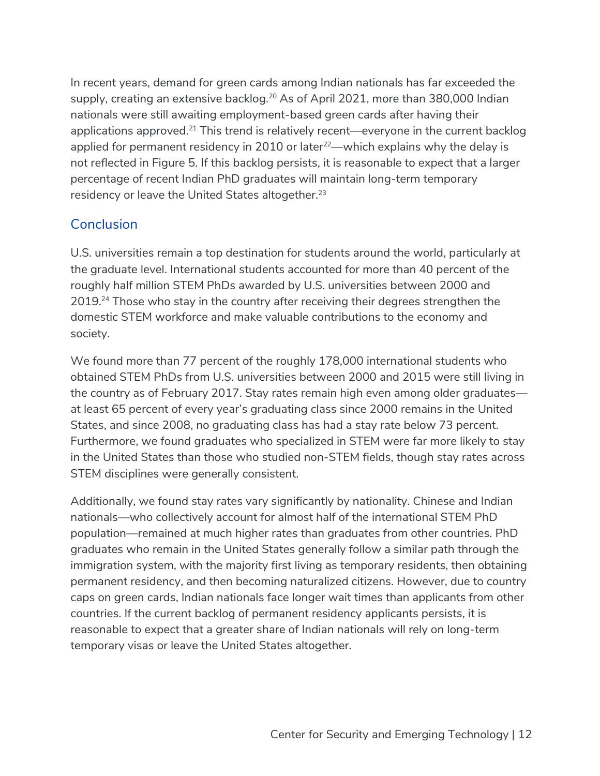In recent years, demand for green cards among Indian nationals has far exceeded the supply, creating an extensive backlog.<sup>20</sup> As of April 2021, more than 380,000 Indian nationals were still awaiting employment-based green cards after having their applications approved.<sup>21</sup> This trend is relatively recent—everyone in the current backlog applied for permanent residency in 2010 or later $22$ —which explains why the delay is not reflected in Figure 5. If this backlog persists, it is reasonable to expect that a larger percentage of recent Indian PhD graduates will maintain long-term temporary residency or leave the United States altogether.<sup>23</sup>

## **Conclusion**

U.S. universities remain a top destination for students around the world, particularly at the graduate level. International students accounted for more than 40 percent of the roughly half million STEM PhDs awarded by U.S. universities between 2000 and 2019.<sup>24</sup> Those who stay in the country after receiving their degrees strengthen the domestic STEM workforce and make valuable contributions to the economy and society.

We found more than 77 percent of the roughly 178,000 international students who obtained STEM PhDs from U.S. universities between 2000 and 2015 were still living in the country as of February 2017. Stay rates remain high even among older graduates at least 65 percent of every year's graduating class since 2000 remains in the United States, and since 2008, no graduating class has had a stay rate below 73 percent. Furthermore, we found graduates who specialized in STEM were far more likely to stay in the United States than those who studied non-STEM fields, though stay rates across STEM disciplines were generally consistent.

Additionally, we found stay rates vary significantly by nationality. Chinese and Indian nationals—who collectively account for almost half of the international STEM PhD population—remained at much higher rates than graduates from other countries. PhD graduates who remain in the United States generally follow a similar path through the immigration system, with the majority first living as temporary residents, then obtaining permanent residency, and then becoming naturalized citizens. However, due to country caps on green cards, Indian nationals face longer wait times than applicants from other countries. If the current backlog of permanent residency applicants persists, it is reasonable to expect that a greater share of Indian nationals will rely on long-term temporary visas or leave the United States altogether.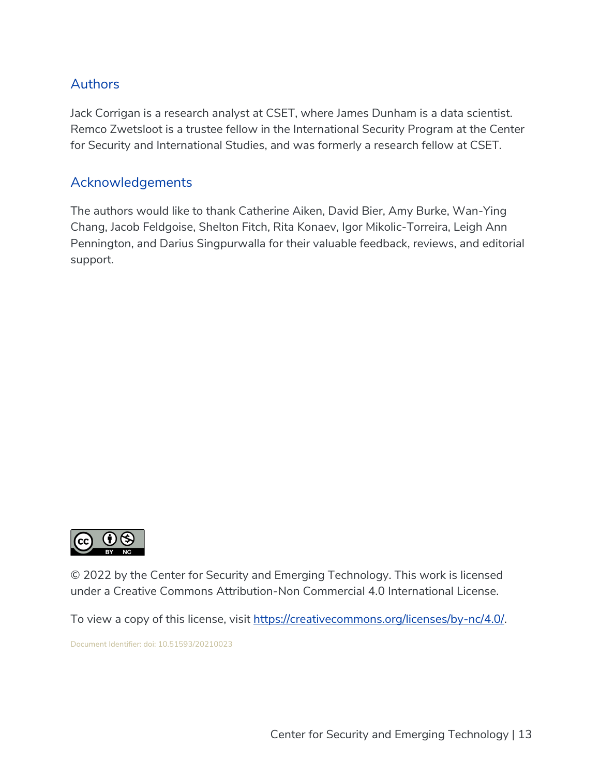## Authors

Jack Corrigan is a research analyst at CSET, where James Dunham is a data scientist. Remco Zwetsloot is a trustee fellow in the International Security Program at the Center for Security and International Studies, and was formerly a research fellow at CSET.

### Acknowledgements

The authors would like to thank Catherine Aiken, David Bier, Amy Burke, Wan-Ying Chang, Jacob Feldgoise, Shelton Fitch, Rita Konaev, Igor Mikolic-Torreira, Leigh Ann Pennington, and Darius Singpurwalla for their valuable feedback, reviews, and editorial support.



© 2022 by the Center for Security and Emerging Technology. This work is licensed under a Creative Commons Attribution-Non Commercial 4.0 International License.

To view a copy of this license, visit https://creativecommons.org/licenses/by-nc/4.0/.

Document Identifier: doi: 10.51593/20210023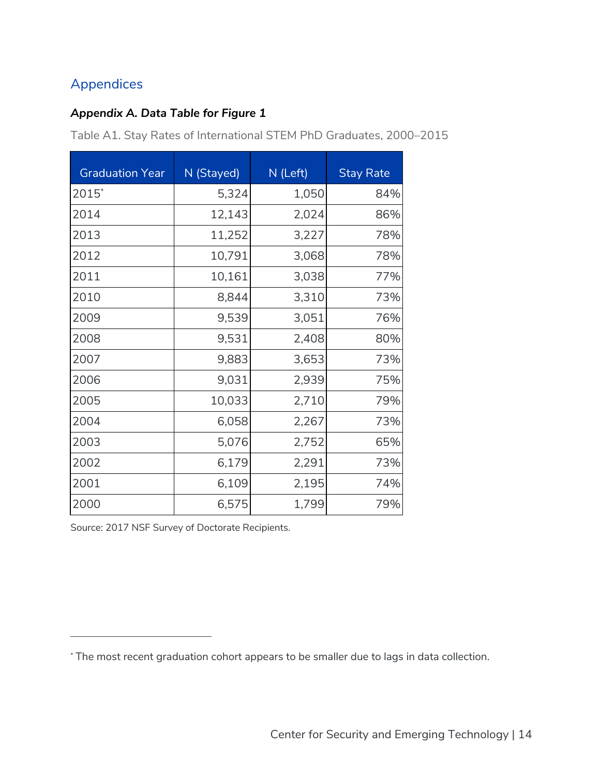# Appendices

#### *Appendix A. Data Table for Figure 1*

Table A1. Stay Rates of International STEM PhD Graduates, 2000–2015

| <b>Graduation Year</b> | N (Stayed) | N (Left) | <b>Stay Rate</b> |
|------------------------|------------|----------|------------------|
| 2015*                  | 5,324      | 1,050    | 84%              |
| 2014                   | 12,143     | 2,024    | 86%              |
| 2013                   | 11,252     | 3,227    | 78%              |
| 2012                   | 10,791     | 3,068    | 78%              |
| 2011                   | 10,161     | 3,038    | 77%              |
| 2010                   | 8,844      | 3,310    | 73%              |
| 2009                   | 9,539      | 3,051    | 76%              |
| 2008                   | 9,531      | 2,408    | 80%              |
| 2007                   | 9,883      | 3,653    | 73%              |
| 2006                   | 9,031      | 2,939    | 75%              |
| 2005                   | 10,033     | 2,710    | 79%              |
| 2004                   | 6,058      | 2,267    | 73%              |
| 2003                   | 5,076      | 2,752    | 65%              |
| 2002                   | 6,179      | 2,291    | 73%              |
| 2001                   | 6,109      | 2,195    | 74%              |
| 2000                   | 6,575      | 1,799    | 79%              |

Source: 2017 NSF Survey of Doctorate Recipients.

<sup>\*</sup> The most recent graduation cohort appears to be smaller due to lags in data collection.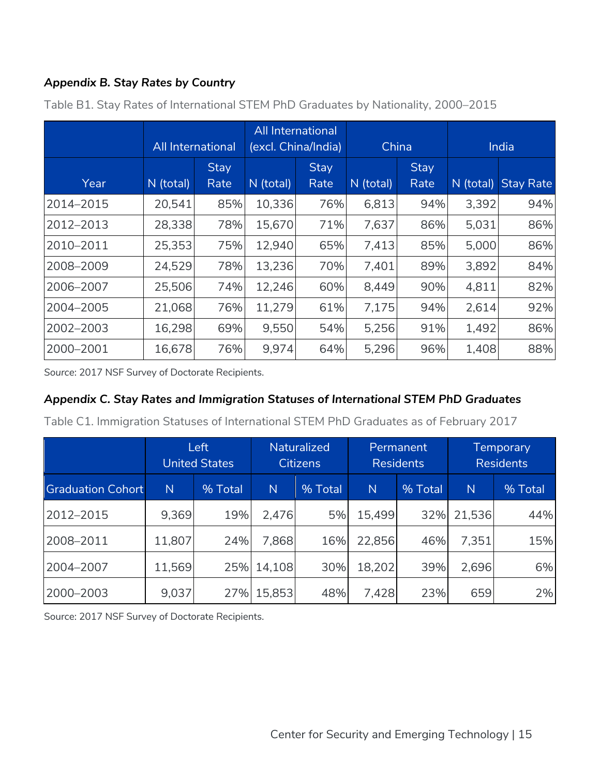## *Appendix B. Stay Rates by Country*

|           | <b>All International</b> |              | <b>All International</b><br>(excl. China/India) |              | China     |                     | India     |                  |
|-----------|--------------------------|--------------|-------------------------------------------------|--------------|-----------|---------------------|-----------|------------------|
| Year      | N (total)                | Stay<br>Rate | N (total)                                       | Stay<br>Rate | N (total) | <b>Stay</b><br>Rate | N (total) | <b>Stay Rate</b> |
| 2014-2015 | 20,541                   | 85%          | 10,336                                          | 76%          | 6,813     | 94%                 | 3,392     | 94%              |
| 2012-2013 | 28,338                   | 78%          | 15,670                                          | 71%          | 7,637     | 86%                 | 5,031     | 86%              |
| 2010-2011 | 25,353                   | 75%          | 12,940                                          | 65%          | 7,413     | 85%                 | 5,000     | 86%              |
| 2008-2009 | 24,529                   | 78%          | 13,236                                          | 70%          | 7,401     | 89%                 | 3,892     | 84%              |
| 2006-2007 | 25,506                   | 74%          | 12,246                                          | 60%          | 8,449     | 90%                 | 4,811     | 82%              |
| 2004-2005 | 21,068                   | 76%          | 11,279                                          | 61%          | 7,175     | 94%                 | 2,614     | 92%              |
| 2002-2003 | 16,298                   | 69%          | 9,550                                           | 54%          | 5,256     | 91%                 | 1,492     | 86%              |
| 2000-2001 | 16,678                   | 76%          | 9,974                                           | 64%          | 5,296     | 96%                 | 1,408     | 88%              |

Table B1. Stay Rates of International STEM PhD Graduates by Nationality, 2000–2015

*Source*: 2017 NSF Survey of Doctorate Recipients.

### *Appendix C. Stay Rates and Immigration Statuses of International STEM PhD Graduates*

Table C1. Immigration Statuses of International STEM PhD Graduates as of February 2017

|                          |                | Left<br><b>United States</b> | <b>Naturalized</b><br><b>Citizens</b> |         | Permanent<br><b>Residents</b> |         | <b>Temporary</b><br><b>Residents</b> |         |
|--------------------------|----------------|------------------------------|---------------------------------------|---------|-------------------------------|---------|--------------------------------------|---------|
| <b>Graduation Cohort</b> | $\overline{N}$ | % Total                      | $\mathbb N$                           | % Total | $\mathsf{N}$                  | % Total | $\mathsf{N}$                         | % Total |
| 2012-2015                | 9,369          | 19%                          | 2,476                                 | 5%      | 15,499                        | 32%     | 21,536                               | 44%     |
| 2008-2011                | 11,807         | 24%                          | 7,868                                 | 16%     | 22,856                        | 46%     | 7,351                                | 15%     |
| 2004-2007                | 11,569         |                              | 25% 14,108                            | 30%     | 18,202                        | 39%     | 2,696                                | 6%      |
| 2000-2003                | 9,037          | 27%                          | 15,853                                | 48%     | 7,428                         | 23%     | 659                                  | 2%      |

Source: 2017 NSF Survey of Doctorate Recipients.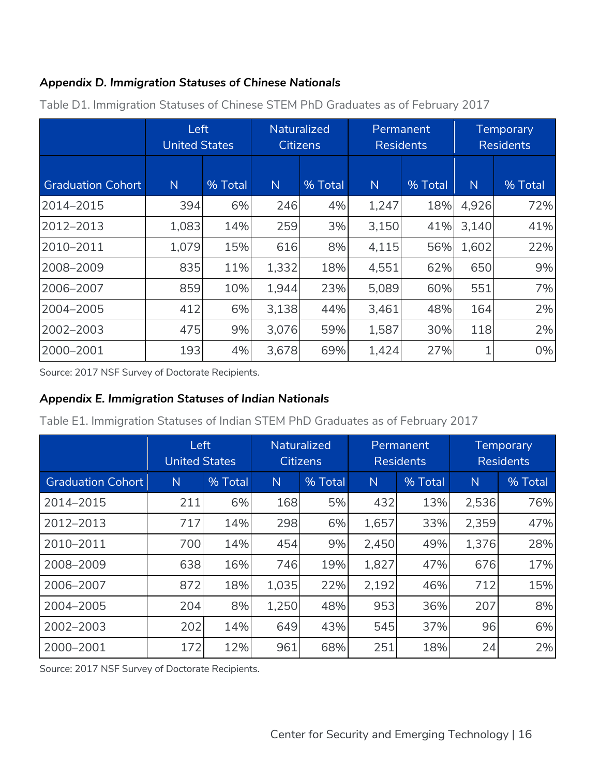## *Appendix D. Immigration Statuses of Chinese Nationals*

|                          | Left<br><b>United States</b> |         | Naturalized<br><b>Citizens</b> |         | Permanent<br><b>Residents</b> |         | <b>Temporary</b><br><b>Residents</b> |         |
|--------------------------|------------------------------|---------|--------------------------------|---------|-------------------------------|---------|--------------------------------------|---------|
| <b>Graduation Cohort</b> | N                            | % Total | $\mathsf{N}$                   | % Total | N                             | % Total | $\mathsf{N}$                         | % Total |
| 2014-2015                | 394                          | 6%      | 246                            | 4%      | 1,247                         | 18%     | 4,926                                | 72%     |
| 2012-2013                | 1,083                        | 14%     | 259                            | 3%      | 3,150                         | 41%     | 3,140                                | 41%     |
| 2010-2011                | 1,079                        | 15%     | 616                            | 8%      | 4,115                         | 56%     | 1,602                                | 22%     |
| 2008-2009                | 835                          | 11%     | 1,332                          | 18%     | 4,551                         | 62%     | 650                                  | 9%      |
| 2006-2007                | 859                          | 10%     | 1,944                          | 23%     | 5,089                         | 60%     | 551                                  | 7%      |
| 2004-2005                | 412                          | 6%      | 3,138                          | 44%     | 3,461                         | 48%     | 164                                  | 2%      |
| 2002-2003                | 475                          | 9%      | 3,076                          | 59%     | 1,587                         | 30%     | 118                                  | 2%      |
| 2000-2001                | 193                          | 4%      | 3,678                          | 69%     | 1,424                         | 27%     |                                      | 0%      |

Table D1. Immigration Statuses of Chinese STEM PhD Graduates as of February 2017

Source: 2017 NSF Survey of Doctorate Recipients.

#### *Appendix E. Immigration Statuses of Indian Nationals*

Table E1. Immigration Statuses of Indian STEM PhD Graduates as of February 2017

|                          | Left<br><b>United States</b> |         | <b>Naturalized</b><br>Citizens |         | Permanent<br><b>Residents</b> |         | <b>Temporary</b><br><b>Residents</b> |         |
|--------------------------|------------------------------|---------|--------------------------------|---------|-------------------------------|---------|--------------------------------------|---------|
| <b>Graduation Cohort</b> | $\mathsf{N}$                 | % Total | N                              | % Total | $\mathsf{N}$                  | % Total | $\mathsf{N}$                         | % Total |
| 2014-2015                | 211                          | 6%      | 168                            | 5%      | 432                           | 13%     | 2,536                                | 76%     |
| 2012-2013                | 717                          | 14%     | 298                            | 6%      | 1,657                         | 33%     | 2,359                                | 47%     |
| 2010-2011                | 700                          | 14%     | 454                            | 9%      | 2,450                         | 49%     | 1,376                                | 28%     |
| 2008-2009                | 638                          | 16%     | 746                            | 19%     | 1,827                         | 47%     | 676                                  | 17%     |
| 2006-2007                | 872                          | 18%     | 1,035                          | 22%     | 2,192                         | 46%     | 712                                  | 15%     |
| 2004-2005                | 204                          | 8%      | 1,250                          | 48%     | 953                           | 36%     | 207                                  | 8%      |
| 2002-2003                | 202                          | 14%     | 649                            | 43%     | 545                           | 37%     | 96                                   | 6%      |
| 2000-2001                | 172                          | 12%     | 961                            | 68%     | 251                           | 18%     | 24                                   | 2%      |

Source: 2017 NSF Survey of Doctorate Recipients.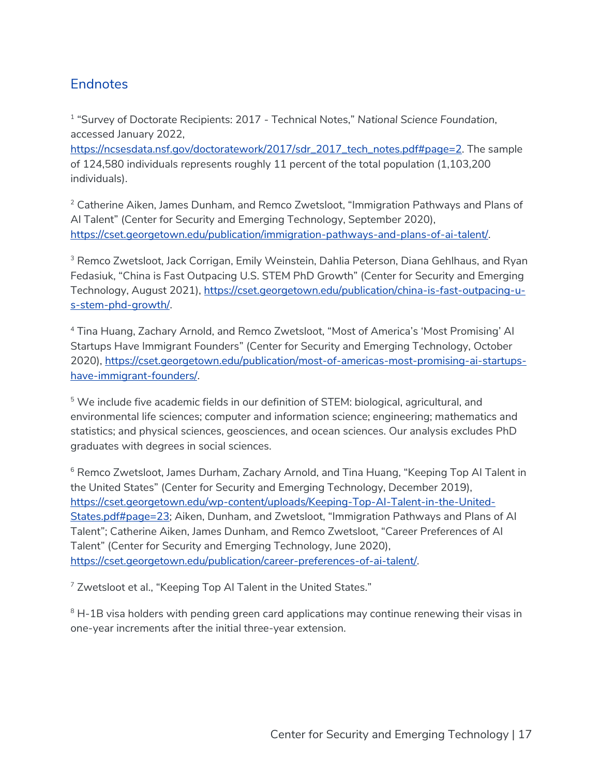## **Endnotes**

<sup>1</sup> "Survey of Doctorate Recipients: 2017 - Technical Notes," *National Science Foundation*, accessed January 2022,

https://ncsesdata.nsf.gov/doctoratework/2017/sdr\_2017\_tech\_notes.pdf#page=2. The sample of 124,580 individuals represents roughly 11 percent of the total population (1,103,200 individuals).

<sup>2</sup> Catherine Aiken, James Dunham, and Remco Zwetsloot, "Immigration Pathways and Plans of AI Talent" (Center for Security and Emerging Technology, September 2020), https://cset.georgetown.edu/publication/immigration-pathways-and-plans-of-ai-talent/.

<sup>3</sup> Remco Zwetsloot, Jack Corrigan, Emily Weinstein, Dahlia Peterson, Diana Gehlhaus, and Ryan Fedasiuk, "China is Fast Outpacing U.S. STEM PhD Growth" (Center for Security and Emerging Technology, August 2021), https://cset.georgetown.edu/publication/china-is-fast-outpacing-us-stem-phd-growth/.

<sup>4</sup> Tina Huang, Zachary Arnold, and Remco Zwetsloot, "Most of America's 'Most Promising' AI Startups Have Immigrant Founders" (Center for Security and Emerging Technology, October 2020), https://cset.georgetown.edu/publication/most-of-americas-most-promising-ai-startupshave-immigrant-founders/.

<sup>5</sup> We include five academic fields in our definition of STEM: biological, agricultural, and environmental life sciences; computer and information science; engineering; mathematics and statistics; and physical sciences, geosciences, and ocean sciences. Our analysis excludes PhD graduates with degrees in social sciences.

<sup>6</sup> Remco Zwetsloot, James Durham, Zachary Arnold, and Tina Huang, "Keeping Top AI Talent in the United States" (Center for Security and Emerging Technology, December 2019), https://cset.georgetown.edu/wp-content/uploads/Keeping-Top-AI-Talent-in-the-United-States.pdf#page=23; Aiken, Dunham, and Zwetsloot, "Immigration Pathways and Plans of Al Talent"; Catherine Aiken, James Dunham, and Remco Zwetsloot, "Career Preferences of AI Talent" (Center for Security and Emerging Technology, June 2020), https://cset.georgetown.edu/publication/career-preferences-of-ai-talent/.

<sup>7</sup> Zwetsloot et al., "Keeping Top AI Talent in the United States."

 $8$  H-1B visa holders with pending green card applications may continue renewing their visas in one-year increments after the initial three-year extension.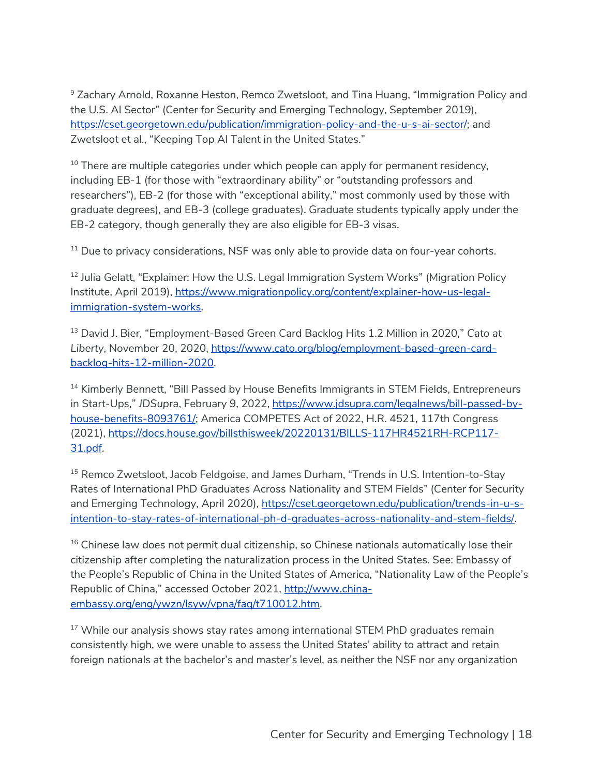<sup>9</sup> Zachary Arnold, Roxanne Heston, Remco Zwetsloot, and Tina Huang, "Immigration Policy and the U.S. AI Sector" (Center for Security and Emerging Technology, September 2019), https://cset.georgetown.edu/publication/immigration-policy-and-the-u-s-ai-sector/; and Zwetsloot et al., "Keeping Top AI Talent in the United States."

 $10$  There are multiple categories under which people can apply for permanent residency, including EB-1 (for those with "extraordinary ability" or "outstanding professors and researchers"), EB-2 (for those with "exceptional ability," most commonly used by those with graduate degrees), and EB-3 (college graduates). Graduate students typically apply under the EB-2 category, though generally they are also eligible for EB-3 visas.

 $11$  Due to privacy considerations, NSF was only able to provide data on four-year cohorts.

<sup>12</sup> Julia Gelatt, "Explainer: How the U.S. Legal Immigration System Works" (Migration Policy Institute, April 2019), https://www.migrationpolicy.org/content/explainer-how-us-legalimmigration-system-works.

<sup>13</sup> David J. Bier, "Employment-Based Green Card Backlog Hits 1.2 Million in 2020," *Cato at Liberty*, November 20, 2020, https://www.cato.org/blog/employment-based-green-cardbacklog-hits-12-million-2020.

<sup>14</sup> Kimberly Bennett, "Bill Passed by House Benefits Immigrants in STEM Fields, Entrepreneurs in Start-Ups," JDSupra, February 9, 2022, https://www.jdsupra.com/legalnews/bill-passed-byhouse-benefits-8093761/; America COMPETES Act of 2022, H.R. 4521, 117th Congress (2021), https://docs.house.gov/billsthisweek/20220131/BILLS-117HR4521RH-RCP117- 31.pdf.

<sup>15</sup> Remco Zwetsloot, Jacob Feldgoise, and James Durham, "Trends in U.S. Intention-to-Stay Rates of International PhD Graduates Across Nationality and STEM Fields" (Center for Security and Emerging Technology, April 2020), https://cset.georgetown.edu/publication/trends-in-u-sintention-to-stay-rates-of-international-ph-d-graduates-across-nationality-and-stem-fields/.

 $16$  Chinese law does not permit dual citizenship, so Chinese nationals automatically lose their citizenship after completing the naturalization process in the United States. See: Embassy of the People's Republic of China in the United States of America, "Nationality Law of the People's Republic of China," accessed October 2021, http://www.chinaembassy.org/eng/ywzn/lsyw/vpna/faq/t710012.htm.

<sup>17</sup> While our analysis shows stay rates among international STEM PhD graduates remain consistently high, we were unable to assess the United States' ability to attract and retain foreign nationals at the bachelor's and master's level, as neither the NSF nor any organization